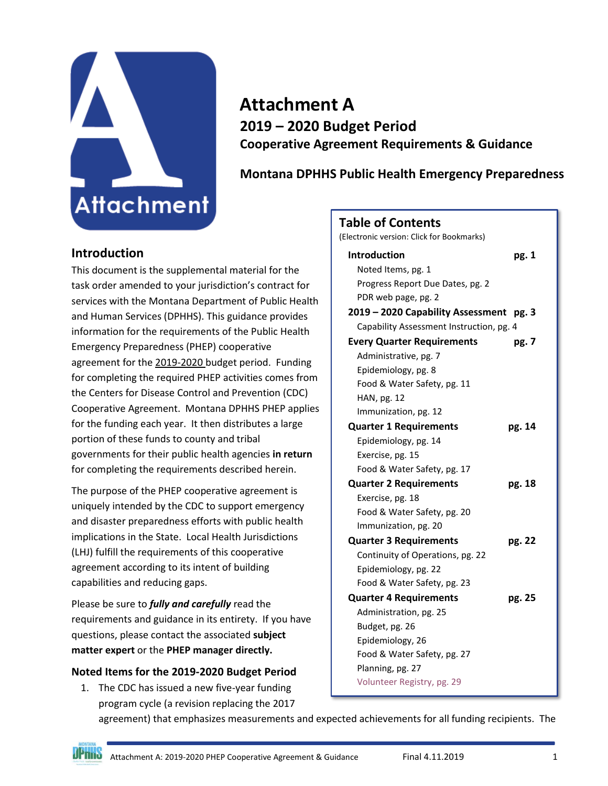

# **Attachment A 2019 – 2020 Budget Period Cooperative Agreement Requirements & Guidance**

**Montana DPHHS Public Health Emergency Preparedness** 

## <span id="page-0-0"></span>**Introduction**

This document is the supplemental material for the task order amended to your jurisdiction's contract for services with the Montana Department of Public Health and Human Services (DPHHS). This guidance provides information for the requirements of the Public Health Emergency Preparedness (PHEP) cooperative agreement for the 2019-2020 budget period. Funding for completing the required PHEP activities comes from the Centers for Disease Control and Prevention (CDC) Cooperative Agreement. Montana DPHHS PHEP applies for the funding each year. It then distributes a large portion of these funds to county and tribal governments for their public health agencies **in return** for completing the requirements described herein.

The purpose of the PHEP cooperative agreement is uniquely intended by the CDC to support emergency and disaster preparedness efforts with public health implications in the State. Local Health Jurisdictions (LHJ) fulfill the requirements of this cooperative agreement according to its intent of building capabilities and reducing gaps.

Please be sure to *fully and carefully* read the requirements and guidance in its entirety. If you have questions, please contact the associated **subject matter expert** or the **PHEP manager directly.**

### <span id="page-0-1"></span>**Noted Items for the 2019-2020 Budget Period**

1. The CDC has issued a new five-year funding program cycle (a revision replacing the 2017

## **Table of Contents**

(Electronic version: Click for Bookmarks)

| <b>Introduction</b>                      | pg. 1  |
|------------------------------------------|--------|
| Noted Items, pg. 1                       |        |
| Progress Report Due Dates, pg. 2         |        |
| PDR web page, pg. 2                      |        |
| 2019 - 2020 Capability Assessment pg. 3  |        |
| Capability Assessment Instruction, pg. 4 |        |
| <b>Every Quarter Requirements</b>        | pg. 7  |
| Administrative, pg. 7                    |        |
| Epidemiology, pg. 8                      |        |
| Food & Water Safety, pg. 11              |        |
| HAN, pg. 12                              |        |
| Immunization, pg. 12                     |        |
| <b>Quarter 1 Requirements</b>            | pg. 14 |
| Epidemiology, pg. 14                     |        |
| Exercise, pg. 15                         |        |
| Food & Water Safety, pg. 17              |        |
| <b>Quarter 2 Requirements</b>            | pg. 18 |
| Exercise, pg. 18                         |        |
| Food & Water Safety, pg. 20              |        |
| Immunization, pg. 20                     |        |
| <b>Quarter 3 Requirements</b>            | pg. 22 |
| Continuity of Operations, pg. 22         |        |
| Epidemiology, pg. 22                     |        |
| Food & Water Safety, pg. 23              |        |
| <b>Quarter 4 Requirements</b>            | pg. 25 |
| Administration, pg. 25                   |        |
| Budget, pg. 26                           |        |
| Epidemiology, 26                         |        |
| Food & Water Safety, pg. 27              |        |
| Planning, pg. 27                         |        |
| Volunteer Registry, pg. 29               |        |
|                                          |        |

agreement) that emphasizes measurements and expected achievements for all funding recipients. The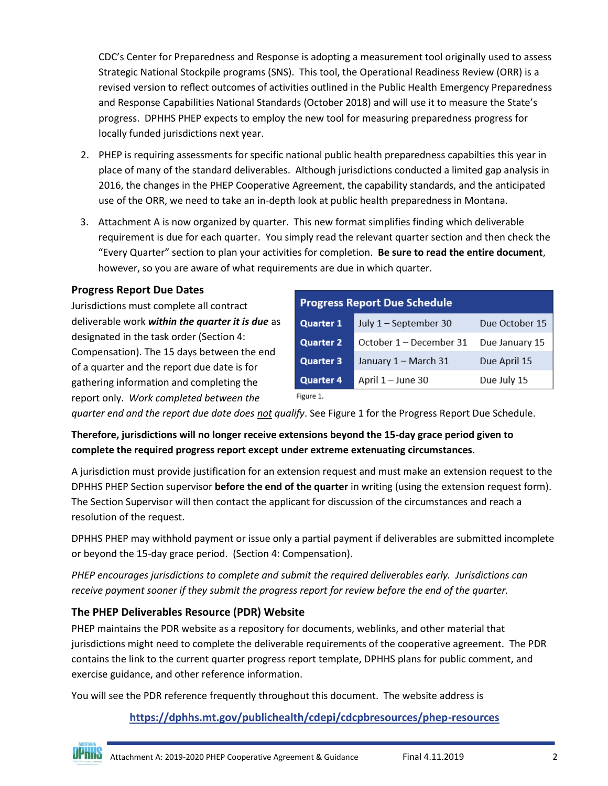CDC's Center for Preparedness and Response is adopting a measurement tool originally used to assess Strategic National Stockpile programs (SNS). This tool, the Operational Readiness Review (ORR) is a revised version to reflect outcomes of activities outlined in the Public Health Emergency Preparedness and Response Capabilities National Standards (October 2018) and will use it to measure the State's progress. DPHHS PHEP expects to employ the new tool for measuring preparedness progress for locally funded jurisdictions next year.

- 2. PHEP is requiring assessments for specific national public health preparedness capabilties this year in place of many of the standard deliverables. Although jurisdictions conducted a limited gap analysis in 2016, the changes in the PHEP Cooperative Agreement, the capability standards, and the anticipated use of the ORR, we need to take an in-depth look at public health preparedness in Montana.
- 3. Attachment A is now organized by quarter. This new format simplifies finding which deliverable requirement is due for each quarter. You simply read the relevant quarter section and then check the "Every Quarter" section to plan your activities for completion. **Be sure to read the entire document**, however, so you are aware of what requirements are due in which quarter.

### <span id="page-1-0"></span>**Progress Report Due Dates**

Jurisdictions must complete all contract deliverable work *within the quarter it is due* as designated in the task order (Section 4: Compensation). The 15 days between the end of a quarter and the report due date is for gathering information and completing the report only. *Work completed between the* 

| <b>Progress Report Due Schedule</b> |                         |                |  |  |
|-------------------------------------|-------------------------|----------------|--|--|
| <b>Quarter 1</b>                    | July 1 - September 30   | Due October 15 |  |  |
| <b>Quarter 2</b>                    | October 1 - December 31 | Due January 15 |  |  |
| <b>Quarter 3</b>                    | January 1 - March 31    | Due April 15   |  |  |
| <b>Quarter 4</b>                    | April 1 - June 30       | Due July 15    |  |  |

Figure 1.

*quarter end and the report due date does not qualify*. See Figure 1 for the Progress Report Due Schedule.

**Therefore, jurisdictions will no longer receive extensions beyond the 15-day grace period given to complete the required progress report except under extreme extenuating circumstances.**

A jurisdiction must provide justification for an extension request and must make an extension request to the DPHHS PHEP Section supervisor **before the end of the quarter** in writing (using the extension request form). The Section Supervisor will then contact the applicant for discussion of the circumstances and reach a resolution of the request.

DPHHS PHEP may withhold payment or issue only a partial payment if deliverables are submitted incomplete or beyond the 15-day grace period. (Section 4: Compensation).

*PHEP encourages jurisdictions to complete and submit the required deliverables early. Jurisdictions can receive payment sooner if they submit the progress report for review before the end of the quarter.* 

## <span id="page-1-1"></span>**The PHEP Deliverables Resource (PDR) Website**

PHEP maintains the PDR website as a repository for documents, weblinks, and other material that jurisdictions might need to complete the deliverable requirements of the cooperative agreement. The PDR contains the link to the current quarter progress report template, DPHHS plans for public comment, and exercise guidance, and other reference information.

You will see the PDR reference frequently throughout this document. The website address is

**<https://dphhs.mt.gov/publichealth/cdepi/cdcpbresources/phep-resources>**

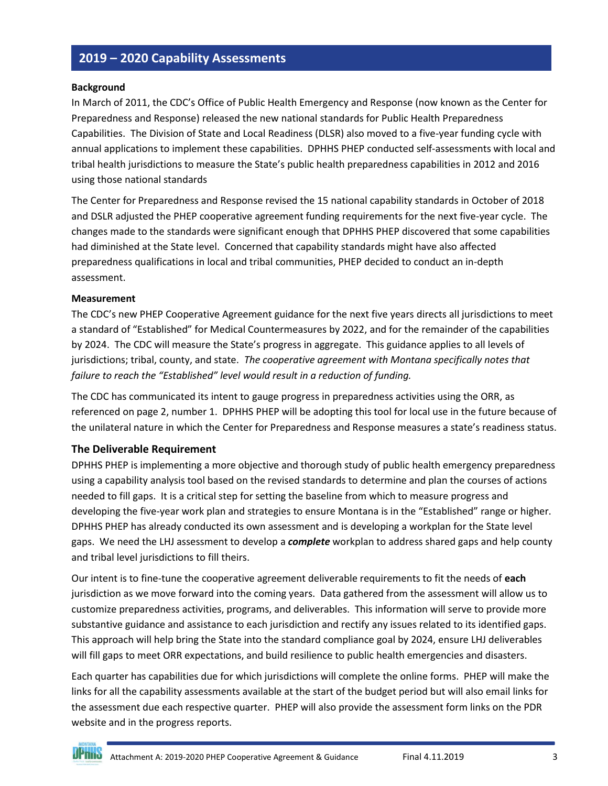## <span id="page-2-0"></span>**2019 – 2020 Capability Assessments**

#### **Background**

In March of 2011, the CDC's Office of Public Health Emergency and Response (now known as the Center for Preparedness and Response) released the new national standards for Public Health Preparedness Capabilities. The Division of State and Local Readiness (DLSR) also moved to a five-year funding cycle with annual applications to implement these capabilities. DPHHS PHEP conducted self-assessments with local and tribal health jurisdictions to measure the State's public health preparedness capabilities in 2012 and 2016 using those national standards

The Center for Preparedness and Response revised the 15 national capability standards in October of 2018 and DSLR adjusted the PHEP cooperative agreement funding requirements for the next five-year cycle. The changes made to the standards were significant enough that DPHHS PHEP discovered that some capabilities had diminished at the State level. Concerned that capability standards might have also affected preparedness qualifications in local and tribal communities, PHEP decided to conduct an in-depth assessment.

#### **Measurement**

The CDC's new PHEP Cooperative Agreement guidance for the next five years directs all jurisdictions to meet a standard of "Established" for Medical Countermeasures by 2022, and for the remainder of the capabilities by 2024. The CDC will measure the State's progress in aggregate. This guidance applies to all levels of jurisdictions; tribal, county, and state. *The cooperative agreement with Montana specifically notes that failure to reach the "Established" level would result in a reduction of funding.*

The CDC has communicated its intent to gauge progress in preparedness activities using the ORR, as referenced on page 2, number 1. DPHHS PHEP will be adopting this tool for local use in the future because of the unilateral nature in which the Center for Preparedness and Response measures a state's readiness status.

#### **The Deliverable Requirement**

DPHHS PHEP is implementing a more objective and thorough study of public health emergency preparedness using a capability analysis tool based on the revised standards to determine and plan the courses of actions needed to fill gaps. It is a critical step for setting the baseline from which to measure progress and developing the five-year work plan and strategies to ensure Montana is in the "Established" range or higher. DPHHS PHEP has already conducted its own assessment and is developing a workplan for the State level gaps. We need the LHJ assessment to develop a *complete* workplan to address shared gaps and help county and tribal level jurisdictions to fill theirs.

Our intent is to fine-tune the cooperative agreement deliverable requirements to fit the needs of **each** jurisdiction as we move forward into the coming years. Data gathered from the assessment will allow us to customize preparedness activities, programs, and deliverables. This information will serve to provide more substantive guidance and assistance to each jurisdiction and rectify any issues related to its identified gaps. This approach will help bring the State into the standard compliance goal by 2024, ensure LHJ deliverables will fill gaps to meet ORR expectations, and build resilience to public health emergencies and disasters.

Each quarter has capabilities due for which jurisdictions will complete the online forms. PHEP will make the links for all the capability assessments available at the start of the budget period but will also email links for the assessment due each respective quarter. PHEP will also provide the assessment form links on the PDR website and in the progress reports.

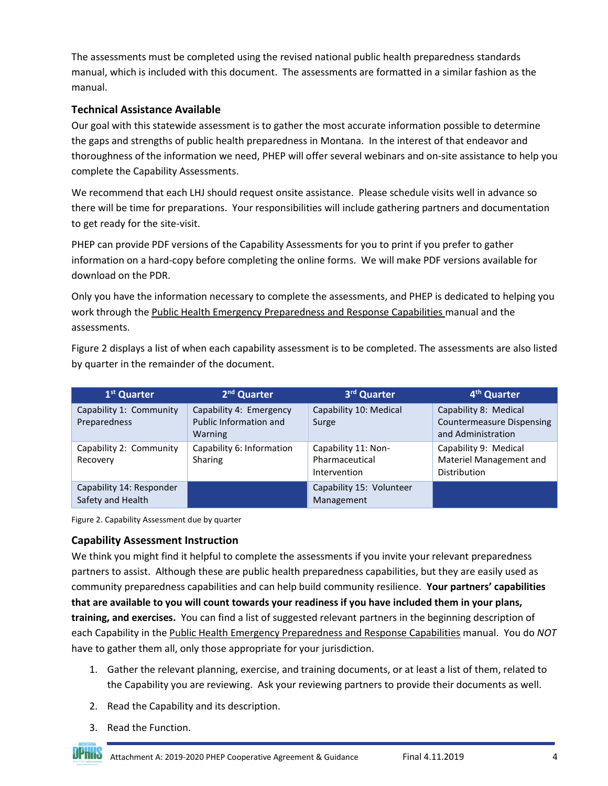The assessments must be completed using the revised national public health preparedness standards manual, which is included with this document. The assessments are formatted in a similar fashion as the manual.

## **Technical Assistance Available**

Our goal with this statewide assessment is to gather the most accurate information possible to determine the gaps and strengths of public health preparedness in Montana. In the interest of that endeavor and thoroughness of the information we need, PHEP will offer several webinars and on-site assistance to help you complete the Capability Assessments.

We recommend that each LHJ should request onsite assistance. Please schedule visits well in advance so there will be time for preparations. Your responsibilities will include gathering partners and documentation to get ready for the site-visit.

PHEP can provide PDF versions of the Capability Assessments for you to print if you prefer to gather information on a hard-copy before completing the online forms. We will make PDF versions available for download on the PDR.

Only you have the information necessary to complete the assessments, and PHEP is dedicated to helping you work through the Public Health Emergency Preparedness and Response Capabilities manual and the assessments.

Figure 2 displays a list of when each capability assessment is to be completed. The assessments are also listed by quarter in the remainder of the document.

| 1 <sup>st</sup> Quarter                       | 2 <sup>nd</sup> Quarter                                      | 3rd Quarter                                           | 4 <sup>th</sup> Quarter                                                         |
|-----------------------------------------------|--------------------------------------------------------------|-------------------------------------------------------|---------------------------------------------------------------------------------|
| Capability 1: Community<br>Preparedness       | Capability 4: Emergency<br>Public Information and<br>Warning | Capability 10: Medical<br>Surge                       | Capability 8: Medical<br><b>Countermeasure Dispensing</b><br>and Administration |
| Capability 2: Community<br>Recovery           | Capability 6: Information<br>Sharing                         | Capability 11: Non-<br>Pharmaceutical<br>Intervention | Capability 9: Medical<br>Materiel Management and<br>Distribution                |
| Capability 14: Responder<br>Safety and Health |                                                              | Capability 15: Volunteer<br>Management                |                                                                                 |

Figure 2. Capability Assessment due by quarter

## <span id="page-3-0"></span>**Capability Assessment Instruction**

We think you might find it helpful to complete the assessments if you invite your relevant preparedness partners to assist. Although these are public health preparedness capabilities, but they are easily used as community preparedness capabilities and can help build community resilience. **Your partners' capabilities that are available to you will count towards your readiness if you have included them in your plans, training, and exercises.** You can find a list of suggested relevant partners in the beginning description of each Capability in the Public Health Emergency Preparedness and Response Capabilities manual. You do *NOT* have to gather them all, only those appropriate for your jurisdiction.

- 1. Gather the relevant planning, exercise, and training documents, or at least a list of them, related to the Capability you are reviewing. Ask your reviewing partners to provide their documents as well.
- 2. Read the Capability and its description.
- 3. Read the Function.

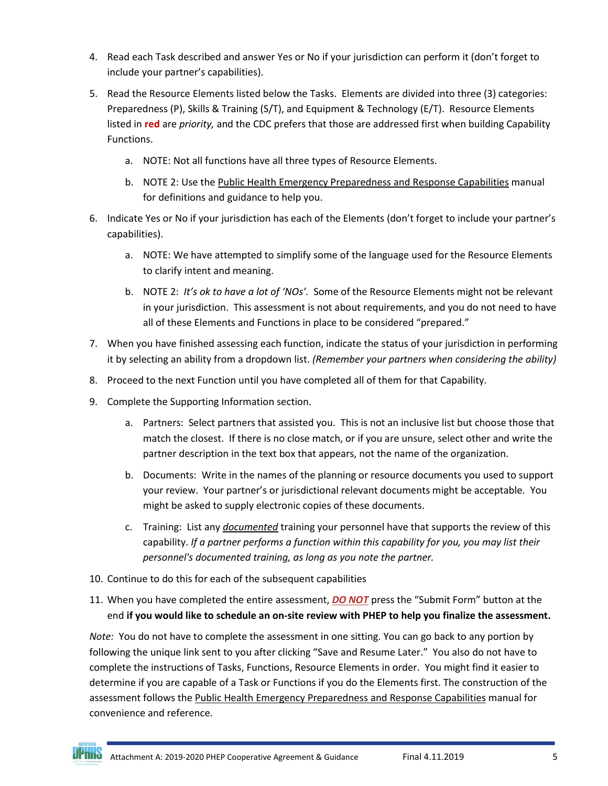- 4. Read each Task described and answer Yes or No if your jurisdiction can perform it (don't forget to include your partner's capabilities).
- 5. Read the Resource Elements listed below the Tasks. Elements are divided into three (3) categories: Preparedness (P), Skills & Training (S/T), and Equipment & Technology (E/T). Resource Elements listed in **red** are *priority,* and the CDC prefers that those are addressed first when building Capability Functions.
	- a. NOTE: Not all functions have all three types of Resource Elements.
	- b. NOTE 2: Use the Public Health Emergency Preparedness and Response Capabilities manual for definitions and guidance to help you.
- 6. Indicate Yes or No if your jurisdiction has each of the Elements (don't forget to include your partner's capabilities).
	- a. NOTE: We have attempted to simplify some of the language used for the Resource Elements to clarify intent and meaning.
	- b. NOTE 2: *It's ok to have a lot of 'NOs'.* Some of the Resource Elements might not be relevant in your jurisdiction. This assessment is not about requirements, and you do not need to have all of these Elements and Functions in place to be considered "prepared."
- 7. When you have finished assessing each function, indicate the status of your jurisdiction in performing it by selecting an ability from a dropdown list. *(Remember your partners when considering the ability)*
- 8. Proceed to the next Function until you have completed all of them for that Capability.
- 9. Complete the Supporting Information section.
	- a. Partners: Select partners that assisted you. This is not an inclusive list but choose those that match the closest. If there is no close match, or if you are unsure, select other and write the partner description in the text box that appears, not the name of the organization.
	- b. Documents: Write in the names of the planning or resource documents you used to support your review. Your partner's or jurisdictional relevant documents might be acceptable. You might be asked to supply electronic copies of these documents.
	- c. Training: List any *documented* training your personnel have that supports the review of this capability. *If a partner performs a function within this capability for you, you may list their personnel's documented training, as long as you note the partner.*
- 10. Continue to do this for each of the subsequent capabilities
- 11. When you have completed the entire assessment, *DO NOT* press the "Submit Form" button at the end **if you would like to schedule an on-site review with PHEP to help you finalize the assessment.**

*Note:* You do not have to complete the assessment in one sitting. You can go back to any portion by following the unique link sent to you after clicking "Save and Resume Later." You also do not have to complete the instructions of Tasks, Functions, Resource Elements in order. You might find it easier to determine if you are capable of a Task or Functions if you do the Elements first. The construction of the assessment follows the Public Health Emergency Preparedness and Response Capabilities manual for convenience and reference.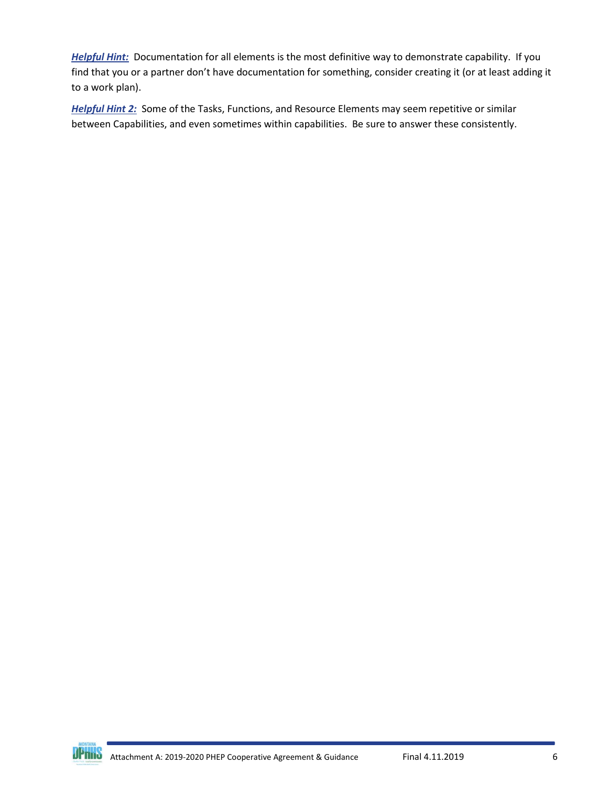*Helpful Hint:* Documentation for all elements is the most definitive way to demonstrate capability. If you find that you or a partner don't have documentation for something, consider creating it (or at least adding it to a work plan).

*Helpful Hint 2:* Some of the Tasks, Functions, and Resource Elements may seem repetitive or similar between Capabilities, and even sometimes within capabilities. Be sure to answer these consistently.

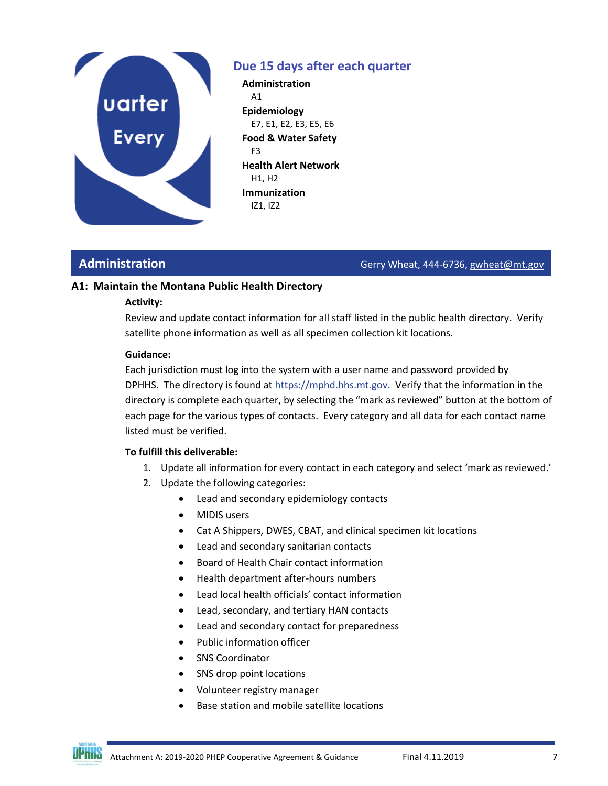

## <span id="page-6-0"></span>**Due 15 days after each quarter**

**Administration** A1 **Epidemiology** E7, E1, E2, E3, E5, E6 **Food & Water Safety** F3 **Health Alert Network** H1, H2 **Immunization** IZ1, IZ2

<span id="page-6-1"></span>**Administration Administration** Gerry Wheat, 444-6736[, gwheat@mt.gov](mailto:gwheat@mt.gov)

## **A1: Maintain the Montana Public Health Directory**

#### **Activity:**

Review and update contact information for all staff listed in the public health directory. Verify satellite phone information as well as all specimen collection kit locations.

#### **Guidance:**

Each jurisdiction must log into the system with a user name and password provided by DPHHS. The directory is found at [https://mphd.hhs.mt.gov.](https://mphd.hhs.mt.gov/) Verify that the information in the directory is complete each quarter, by selecting the "mark as reviewed" button at the bottom of each page for the various types of contacts. Every category and all data for each contact name listed must be verified.

- 1. Update all information for every contact in each category and select 'mark as reviewed.'
- 2. Update the following categories:
	- Lead and secondary epidemiology contacts
	- MIDIS users
	- Cat A Shippers, DWES, CBAT, and clinical specimen kit locations
	- Lead and secondary sanitarian contacts
	- Board of Health Chair contact information
	- Health department after-hours numbers
	- Lead local health officials' contact information
	- Lead, secondary, and tertiary HAN contacts
	- Lead and secondary contact for preparedness
	- Public information officer
	- SNS Coordinator
	- SNS drop point locations
	- Volunteer registry manager
	- Base station and mobile satellite locations

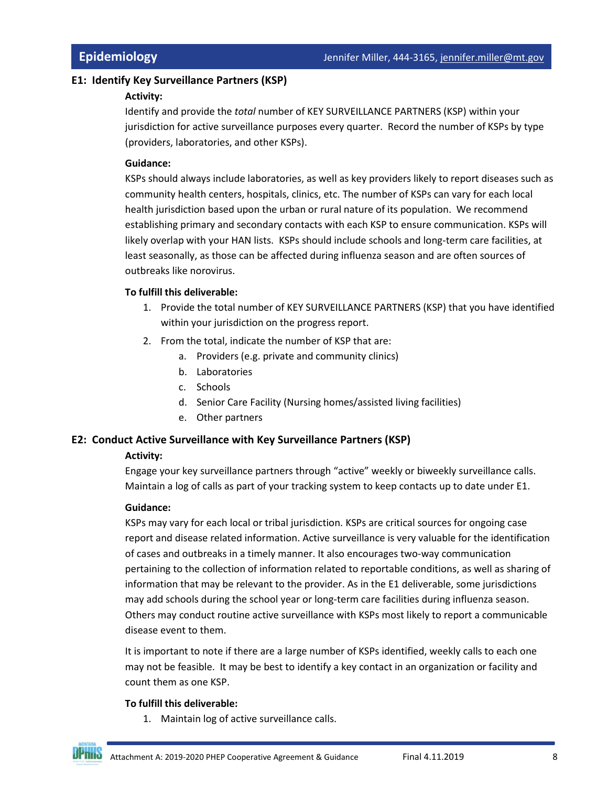#### <span id="page-7-0"></span>**E1: Identify Key Surveillance Partners (KSP)**

#### **Activity:**

Identify and provide the *total* number of KEY SURVEILLANCE PARTNERS (KSP) within your jurisdiction for active surveillance purposes every quarter. Record the number of KSPs by type (providers, laboratories, and other KSPs).

#### **Guidance:**

KSPs should always include laboratories, as well as key providers likely to report diseases such as community health centers, hospitals, clinics, etc. The number of KSPs can vary for each local health jurisdiction based upon the urban or rural nature of its population. We recommend establishing primary and secondary contacts with each KSP to ensure communication. KSPs will likely overlap with your HAN lists. KSPs should include schools and long-term care facilities, at least seasonally, as those can be affected during influenza season and are often sources of outbreaks like norovirus.

#### **To fulfill this deliverable:**

- 1. Provide the total number of KEY SURVEILLANCE PARTNERS (KSP) that you have identified within your jurisdiction on the progress report.
- 2. From the total, indicate the number of KSP that are:
	- a. Providers (e.g. private and community clinics)
	- b. Laboratories
	- c. Schools
	- d. Senior Care Facility (Nursing homes/assisted living facilities)
	- e. Other partners

#### **E2: Conduct Active Surveillance with Key Surveillance Partners (KSP)**

#### **Activity:**

Engage your key surveillance partners through "active" weekly or biweekly surveillance calls. Maintain a log of calls as part of your tracking system to keep contacts up to date under E1.

#### **Guidance:**

KSPs may vary for each local or tribal jurisdiction. KSPs are critical sources for ongoing case report and disease related information. Active surveillance is very valuable for the identification of cases and outbreaks in a timely manner. It also encourages two-way communication pertaining to the collection of information related to reportable conditions, as well as sharing of information that may be relevant to the provider. As in the E1 deliverable, some jurisdictions may add schools during the school year or long-term care facilities during influenza season. Others may conduct routine active surveillance with KSPs most likely to report a communicable disease event to them.

It is important to note if there are a large number of KSPs identified, weekly calls to each one may not be feasible. It may be best to identify a key contact in an organization or facility and count them as one KSP.

#### **To fulfill this deliverable:**

1. Maintain log of active surveillance calls.

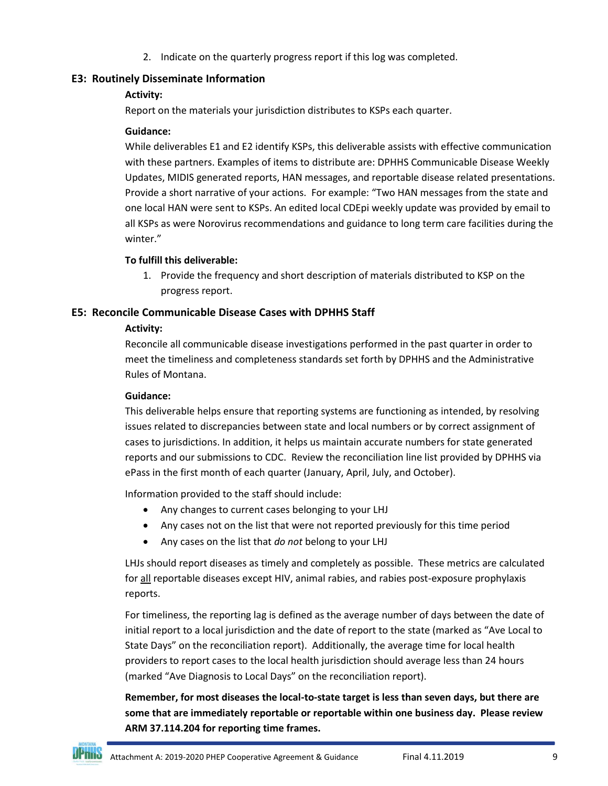2. Indicate on the quarterly progress report if this log was completed.

### **E3: Routinely Disseminate Information**

#### **Activity:**

Report on the materials your jurisdiction distributes to KSPs each quarter.

#### **Guidance:**

While deliverables E1 and E2 identify KSPs, this deliverable assists with effective communication with these partners. Examples of items to distribute are: DPHHS Communicable Disease Weekly Updates, MIDIS generated reports, HAN messages, and reportable disease related presentations. Provide a short narrative of your actions. For example: "Two HAN messages from the state and one local HAN were sent to KSPs. An edited local CDEpi weekly update was provided by email to all KSPs as were Norovirus recommendations and guidance to long term care facilities during the winter."

#### **To fulfill this deliverable:**

1. Provide the frequency and short description of materials distributed to KSP on the progress report.

#### **E5: Reconcile Communicable Disease Cases with DPHHS Staff**

#### **Activity:**

Reconcile all communicable disease investigations performed in the past quarter in order to meet the timeliness and completeness standards set forth by DPHHS and the Administrative Rules of Montana.

#### **Guidance:**

This deliverable helps ensure that reporting systems are functioning as intended, by resolving issues related to discrepancies between state and local numbers or by correct assignment of cases to jurisdictions. In addition, it helps us maintain accurate numbers for state generated reports and our submissions to CDC. Review the reconciliation line list provided by DPHHS via ePass in the first month of each quarter (January, April, July, and October).

Information provided to the staff should include:

- Any changes to current cases belonging to your LHJ
- Any cases not on the list that were not reported previously for this time period
- Any cases on the list that *do not* belong to your LHJ

LHJs should report diseases as timely and completely as possible. These metrics are calculated for all reportable diseases except HIV, animal rabies, and rabies post-exposure prophylaxis reports.

For timeliness, the reporting lag is defined as the average number of days between the date of initial report to a local jurisdiction and the date of report to the state (marked as "Ave Local to State Days" on the reconciliation report). Additionally, the average time for local health providers to report cases to the local health jurisdiction should average less than 24 hours (marked "Ave Diagnosis to Local Days" on the reconciliation report).

**Remember, for most diseases the local-to-state target is less than seven days, but there are some that are immediately reportable or reportable within one business day. Please review ARM 37.114.204 for reporting time frames.** 

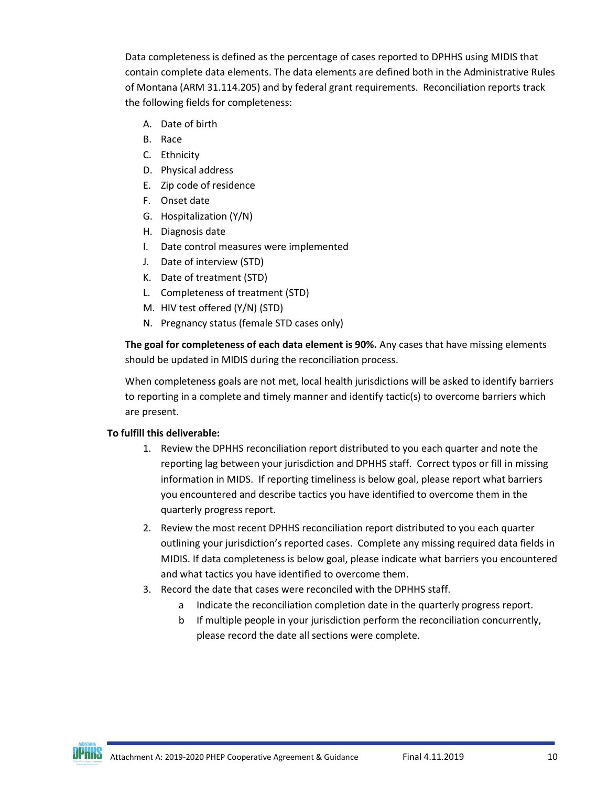Data completeness is defined as the percentage of cases reported to DPHHS using MIDIS that contain complete data elements. The data elements are defined both in the Administrative Rules of Montana (ARM 31.114.205) and by federal grant requirements. Reconciliation reports track the following fields for completeness:

- A. Date of birth
- B. Race
- C. Ethnicity
- D. Physical address
- E. Zip code of residence
- F. Onset date
- G. Hospitalization (Y/N)
- H. Diagnosis date
- I. Date control measures were implemented
- J. Date of interview (STD)
- K. Date of treatment (STD)
- L. Completeness of treatment (STD)
- M. HIV test offered (Y/N) (STD)
- N. Pregnancy status (female STD cases only)

**The goal for completeness of each data element is 90%.** Any cases that have missing elements should be updated in MIDIS during the reconciliation process.

When completeness goals are not met, local health jurisdictions will be asked to identify barriers to reporting in a complete and timely manner and identify tactic(s) to overcome barriers which are present.

- 1. Review the DPHHS reconciliation report distributed to you each quarter and note the reporting lag between your jurisdiction and DPHHS staff. Correct typos or fill in missing information in MIDS. If reporting timeliness is below goal, please report what barriers you encountered and describe tactics you have identified to overcome them in the quarterly progress report.
- 2. Review the most recent DPHHS reconciliation report distributed to you each quarter outlining your jurisdiction's reported cases. Complete any missing required data fields in MIDIS. If data completeness is below goal, please indicate what barriers you encountered and what tactics you have identified to overcome them.
- 3. Record the date that cases were reconciled with the DPHHS staff.
	- a Indicate the reconciliation completion date in the quarterly progress report.
	- b If multiple people in your jurisdiction perform the reconciliation concurrently, please record the date all sections were complete.

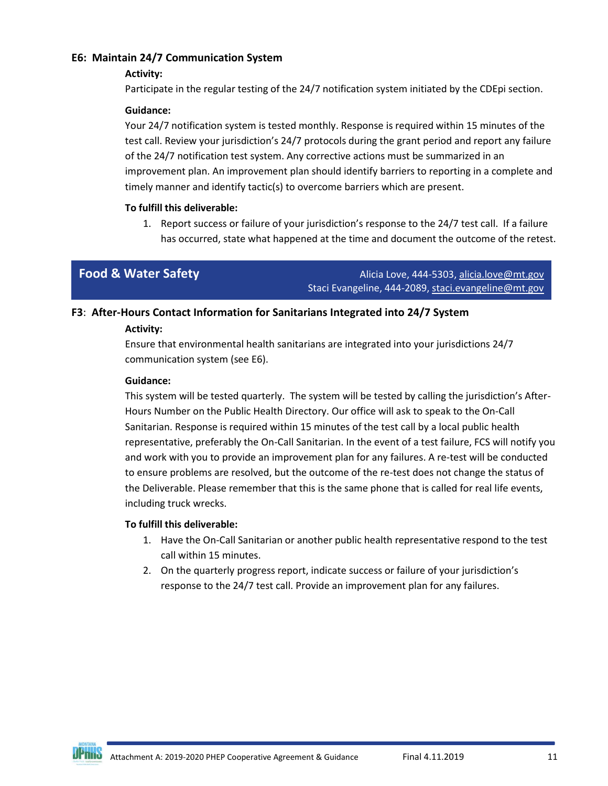#### **E6: Maintain 24/7 Communication System**

#### **Activity:**

Participate in the regular testing of the 24/7 notification system initiated by the CDEpi section.

#### **Guidance:**

Your 24/7 notification system is tested monthly. Response is required within 15 minutes of the test call. Review your jurisdiction's 24/7 protocols during the grant period and report any failure of the 24/7 notification test system. Any corrective actions must be summarized in an improvement plan. An improvement plan should identify barriers to reporting in a complete and timely manner and identify tactic(s) to overcome barriers which are present.

#### **To fulfill this deliverable:**

1. Report success or failure of your jurisdiction's response to the 24/7 test call. If a failure has occurred, state what happened at the time and document the outcome of the retest.

<span id="page-10-0"></span>**Food & Water Safety** Alicia Love, 444-5303[, alicia.love@mt.gov](mailto:alicia.love@mt.gov) Staci Evangeline, 444-2089, [staci.evangeline@mt.gov](mailto:staci.evangeline@mt.gov)

### **F3**: **After-Hours Contact Information for Sanitarians Integrated into 24/7 System**

#### **Activity:**

Ensure that environmental health sanitarians are integrated into your jurisdictions 24/7 communication system (see E6).

#### **Guidance:**

This system will be tested quarterly. The system will be tested by calling the jurisdiction's After-Hours Number on the Public Health Directory. Our office will ask to speak to the On-Call Sanitarian. Response is required within 15 minutes of the test call by a local public health representative, preferably the On-Call Sanitarian. In the event of a test failure, FCS will notify you and work with you to provide an improvement plan for any failures. A re-test will be conducted to ensure problems are resolved, but the outcome of the re-test does not change the status of the Deliverable. Please remember that this is the same phone that is called for real life events, including truck wrecks.

- 1. Have the On-Call Sanitarian or another public health representative respond to the test call within 15 minutes.
- 2. On the quarterly progress report, indicate success or failure of your jurisdiction's response to the 24/7 test call. Provide an improvement plan for any failures.

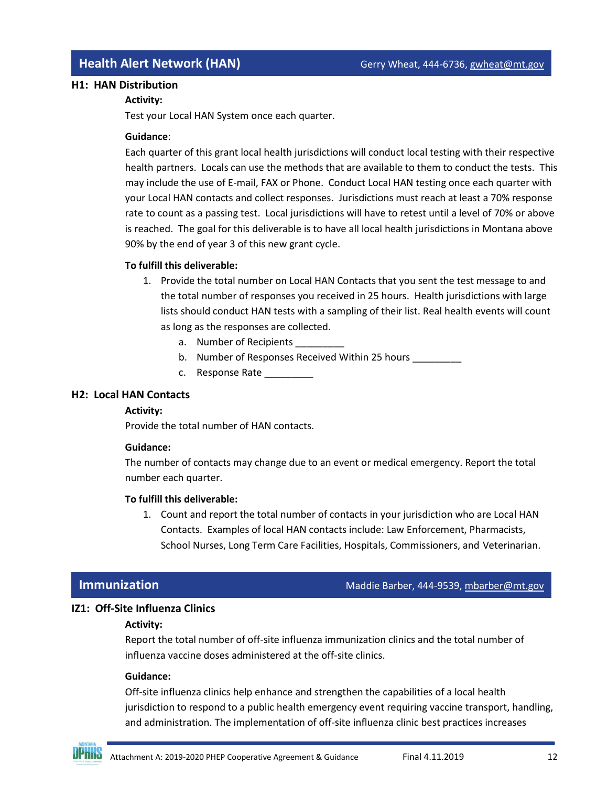#### <span id="page-11-0"></span>**H1: HAN Distribution**

#### **Activity:**

Test your Local HAN System once each quarter.

#### **Guidance**:

Each quarter of this grant local health jurisdictions will conduct local testing with their respective health partners. Locals can use the methods that are available to them to conduct the tests. This may include the use of E-mail, FAX or Phone. Conduct Local HAN testing once each quarter with your Local HAN contacts and collect responses. Jurisdictions must reach at least a 70% response rate to count as a passing test. Local jurisdictions will have to retest until a level of 70% or above is reached. The goal for this deliverable is to have all local health jurisdictions in Montana above 90% by the end of year 3 of this new grant cycle.

#### **To fulfill this deliverable:**

- 1. Provide the total number on Local HAN Contacts that you sent the test message to and the total number of responses you received in 25 hours. Health jurisdictions with large lists should conduct HAN tests with a sampling of their list. Real health events will count as long as the responses are collected.
	- a. Number of Recipients
	- b. Number of Responses Received Within 25 hours \_\_\_\_\_\_\_\_
	- c. Response Rate

#### **H2: Local HAN Contacts**

#### **Activity:**

Provide the total number of HAN contacts.

#### **Guidance:**

The number of contacts may change due to an event or medical emergency. Report the total number each quarter.

#### **To fulfill this deliverable:**

1. Count and report the total number of contacts in your jurisdiction who are Local HAN Contacts. Examples of local HAN contacts include: Law Enforcement, Pharmacists, School Nurses, Long Term Care Facilities, Hospitals, Commissioners, and Veterinarian.

#### <span id="page-11-1"></span>**Immunization** Maddie Barber, 444-9539, [mbarber@mt.gov](mailto:mbarber@mt.gov)

#### **IZ1: Off-Site Influenza Clinics**

#### **Activity:**

Report the total number of off-site influenza immunization clinics and the total number of influenza vaccine doses administered at the off-site clinics.

#### **Guidance:**

Off-site influenza clinics help enhance and strengthen the capabilities of a local health jurisdiction to respond to a public health emergency event requiring vaccine transport, handling, and administration. The implementation of off-site influenza clinic best practices increases

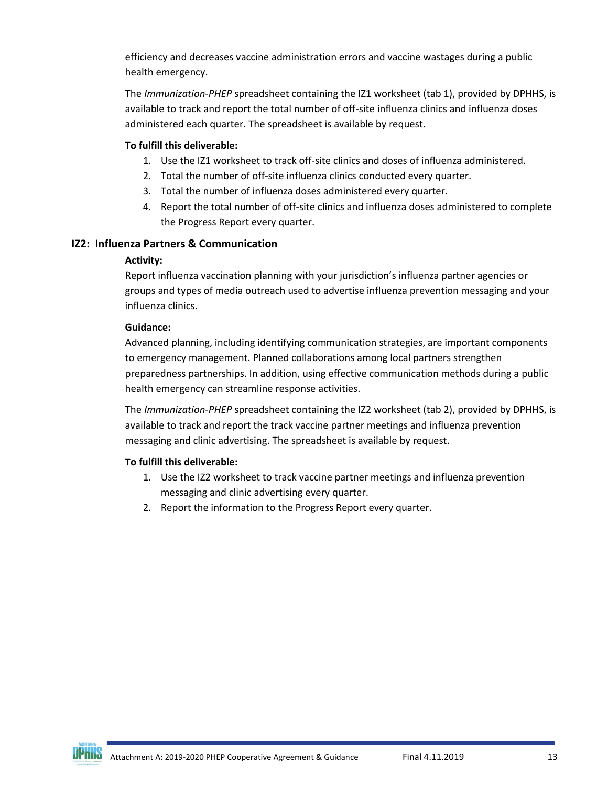efficiency and decreases vaccine administration errors and vaccine wastages during a public health emergency.

The *Immunization-PHEP* spreadsheet containing the IZ1 worksheet (tab 1), provided by DPHHS, is available to track and report the total number of off-site influenza clinics and influenza doses administered each quarter. The spreadsheet is available by request.

### **To fulfill this deliverable:**

- 1. Use the IZ1 worksheet to track off-site clinics and doses of influenza administered.
- 2. Total the number of off-site influenza clinics conducted every quarter.
- 3. Total the number of influenza doses administered every quarter.
- 4. Report the total number of off-site clinics and influenza doses administered to complete the Progress Report every quarter.

### **IZ2: Influenza Partners & Communication**

#### **Activity:**

Report influenza vaccination planning with your jurisdiction's influenza partner agencies or groups and types of media outreach used to advertise influenza prevention messaging and your influenza clinics.

#### **Guidance:**

Advanced planning, including identifying communication strategies, are important components to emergency management. Planned collaborations among local partners strengthen preparedness partnerships. In addition, using effective communication methods during a public health emergency can streamline response activities.

The *Immunization-PHEP* spreadsheet containing the IZ2 worksheet (tab 2), provided by DPHHS, is available to track and report the track vaccine partner meetings and influenza prevention messaging and clinic advertising. The spreadsheet is available by request.

- 1. Use the IZ2 worksheet to track vaccine partner meetings and influenza prevention messaging and clinic advertising every quarter.
- 2. Report the information to the Progress Report every quarter.

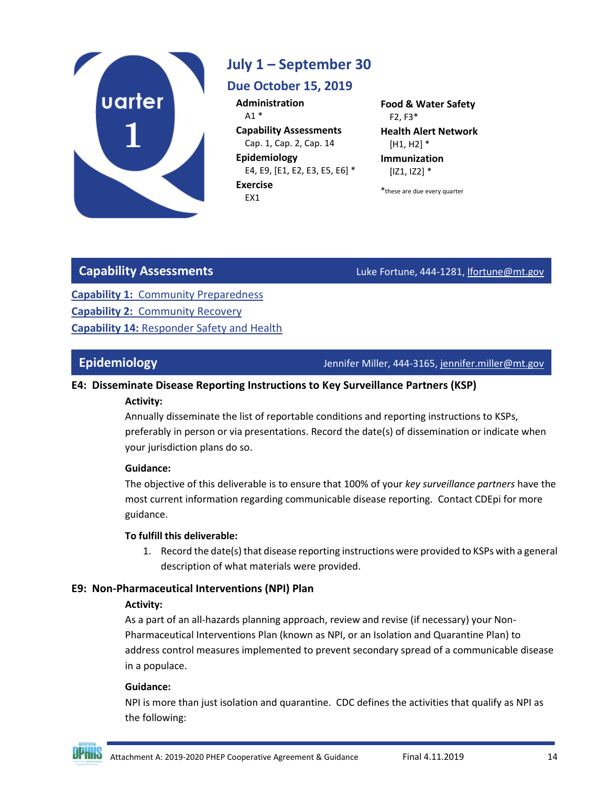

# <span id="page-13-0"></span>**July 1 – September 30**

## **Due October 15, 2019**

**Administration** A1 \* **Capability Assessments**

Cap. 1, Cap. 2, Cap. 14 **Epidemiology**

E4, E9, [E1, E2, E3, E5, E6] \* **Exercise** EX1

**Food & Water Safety** F2, F3\* **Health Alert Network**

[H1, H2] \* **Immunization** [IZ1, IZ2] \*

\*these are due every quarter

## **Capability Assessments Capability Assessments Luke Fortune, 444-1281**[, lfortune@mt.gov](mailto:lfortune@mt.gov)

**Capability 1:** [Community Preparedness](https://phep.formstack.com/forms/phep_capability_1_assessment_20192020) **Capability 2:** [Community Recovery](https://phep.formstack.com/forms/phep_capability_2_assessment_20192020) **Capability 14:** [Responder Safety and Health](https://phep.formstack.com/forms/phep_capability_14_assessment_20192020)

<span id="page-13-1"></span>**Epidemiology Jennifer Miller, 444-3165**, *jennifer.miller@mt.gov* 

## **E4: Disseminate Disease Reporting Instructions to Key Surveillance Partners (KSP)**

### **Activity:**

Annually disseminate the list of reportable conditions and reporting instructions to KSPs, preferably in person or via presentations. Record the date(s) of dissemination or indicate when your jurisdiction plans do so.

### **Guidance:**

The objective of this deliverable is to ensure that 100% of your *key surveillance partners* have the most current information regarding communicable disease reporting. Contact CDEpi for more guidance.

### **To fulfill this deliverable:**

1. Record the date(s) that disease reporting instructions were provided to KSPs with a general description of what materials were provided.

## **E9: Non-Pharmaceutical Interventions (NPI) Plan**

### **Activity:**

As a part of an all-hazards planning approach, review and revise (if necessary) your Non-Pharmaceutical Interventions Plan (known as NPI, or an Isolation and Quarantine Plan) to address control measures implemented to prevent secondary spread of a communicable disease in a populace.

### **Guidance:**

NPI is more than just isolation and quarantine. CDC defines the activities that qualify as NPI as the following:

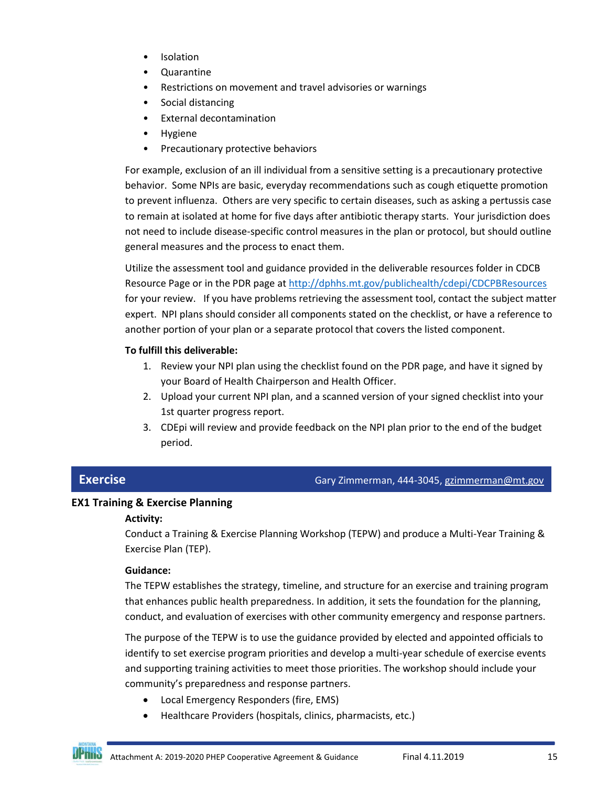- **Isolation**
- Quarantine
- Restrictions on movement and travel advisories or warnings
- Social distancing
- External decontamination
- Hygiene
- Precautionary protective behaviors

For example, exclusion of an ill individual from a sensitive setting is a precautionary protective behavior. Some NPIs are basic, everyday recommendations such as cough etiquette promotion to prevent influenza. Others are very specific to certain diseases, such as asking a pertussis case to remain at isolated at home for five days after antibiotic therapy starts. Your jurisdiction does not need to include disease-specific control measures in the plan or protocol, but should outline general measures and the process to enact them.

Utilize the assessment tool and guidance provided in the deliverable resources folder in CDCB Resource Page or in the PDR page a[t http://dphhs.mt.gov/publichealth/cdepi/CDCPBResources](http://dphhs.mt.gov/publichealth/cdepi/CDCPBResources) for your review. If you have problems retrieving the assessment tool, contact the subject matter expert. NPI plans should consider all components stated on the checklist, or have a reference to another portion of your plan or a separate protocol that covers the listed component.

#### **To fulfill this deliverable:**

- 1. Review your NPI plan using the checklist found on the PDR page, and have it signed by your Board of Health Chairperson and Health Officer.
- 2. Upload your current NPI plan, and a scanned version of your signed checklist into your 1st quarter progress report.
- 3. CDEpi will review and provide feedback on the NPI plan prior to the end of the budget period.

<span id="page-14-0"></span>**Exercise** Gary Zimmerman, 444-3045, [gzimmerman@mt.gov](mailto:gzimmerman@mt.gov)

### **EX1 Training & Exercise Planning**

#### **Activity:**

Conduct a Training & Exercise Planning Workshop (TEPW) and produce a Multi-Year Training & Exercise Plan (TEP).

#### **Guidance:**

The TEPW establishes the strategy, timeline, and structure for an exercise and training program that enhances public health preparedness. In addition, it sets the foundation for the planning, conduct, and evaluation of exercises with other community emergency and response partners.

The purpose of the TEPW is to use the guidance provided by elected and appointed officials to identify to set exercise program priorities and develop a multi-year schedule of exercise events and supporting training activities to meet those priorities. The workshop should include your community's preparedness and response partners.

- Local Emergency Responders (fire, EMS)
- Healthcare Providers (hospitals, clinics, pharmacists, etc.)

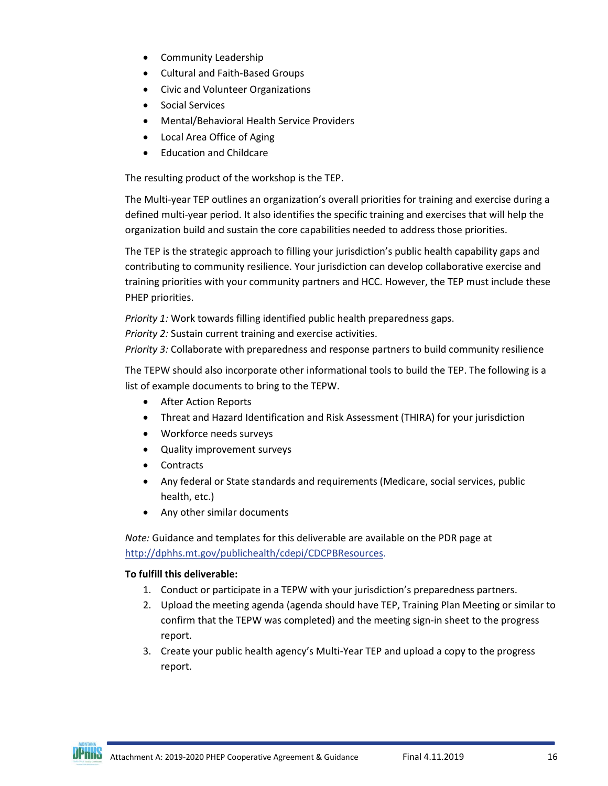- Community Leadership
- Cultural and Faith-Based Groups
- Civic and Volunteer Organizations
- Social Services
- Mental/Behavioral Health Service Providers
- Local Area Office of Aging
- Education and Childcare

The resulting product of the workshop is the TEP.

The Multi-year TEP outlines an organization's overall priorities for training and exercise during a defined multi-year period. It also identifies the specific training and exercises that will help the organization build and sustain the core capabilities needed to address those priorities.

The TEP is the strategic approach to filling your jurisdiction's public health capability gaps and contributing to community resilience. Your jurisdiction can develop collaborative exercise and training priorities with your community partners and HCC. However, the TEP must include these PHEP priorities.

*Priority 1:* Work towards filling identified public health preparedness gaps.

*Priority 2:* Sustain current training and exercise activities.

*Priority 3:* Collaborate with preparedness and response partners to build community resilience

The TEPW should also incorporate other informational tools to build the TEP. The following is a list of example documents to bring to the TEPW.

- After Action Reports
- Threat and Hazard Identification and Risk Assessment (THIRA) for your jurisdiction
- Workforce needs surveys
- Quality improvement surveys
- Contracts
- Any federal or State standards and requirements (Medicare, social services, public health, etc.)
- Any other similar documents

*Note:* Guidance and templates for this deliverable are available on the PDR page at [http://dphhs.mt.gov/publichealth/cdepi/CDCPBResources.](http://dphhs.mt.gov/publichealth/cdepi/CDCPBResources)

- 1. Conduct or participate in a TEPW with your jurisdiction's preparedness partners.
- 2. Upload the meeting agenda (agenda should have TEP, Training Plan Meeting or similar to confirm that the TEPW was completed) and the meeting sign-in sheet to the progress report.
- 3. Create your public health agency's Multi-Year TEP and upload a copy to the progress report.

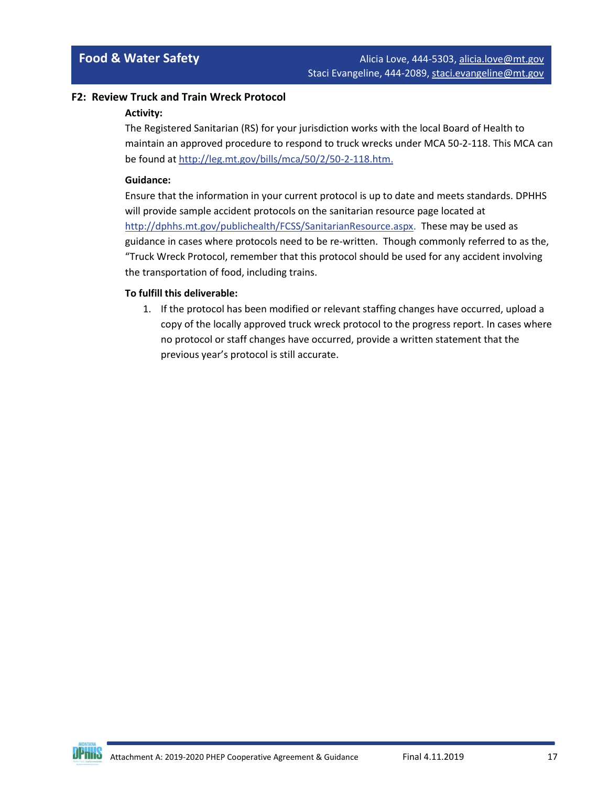#### <span id="page-16-0"></span>**F2: Review Truck and Train Wreck Protocol**

#### **Activity:**

The Registered Sanitarian (RS) for your jurisdiction works with the local Board of Health to maintain an approved procedure to respond to truck wrecks under MCA 50-2-118. This MCA can be found at [http://leg.mt.gov/bills/mca/50/2/50-2-118.htm.](http://leg.mt.gov/bills/mca/50/2/50-2-118.htm)

#### **Guidance:**

Ensure that the information in your current protocol is up to date and meets standards. DPHHS will provide sample accident protocols on the sanitarian resource page located at [http://dphhs.mt.gov/publichealth/FCSS/SanitarianResource.aspx.](http://dphhs.mt.gov/publichealth/FCSS/SanitarianResource.aspx) These may be used as guidance in cases where protocols need to be re-written. Though commonly referred to as the, "Truck Wreck Protocol, remember that this protocol should be used for any accident involving the transportation of food, including trains.

#### **To fulfill this deliverable:**

1. If the protocol has been modified or relevant staffing changes have occurred, upload a copy of the locally approved truck wreck protocol to the progress report. In cases where no protocol or staff changes have occurred, provide a written statement that the previous year's protocol is still accurate.

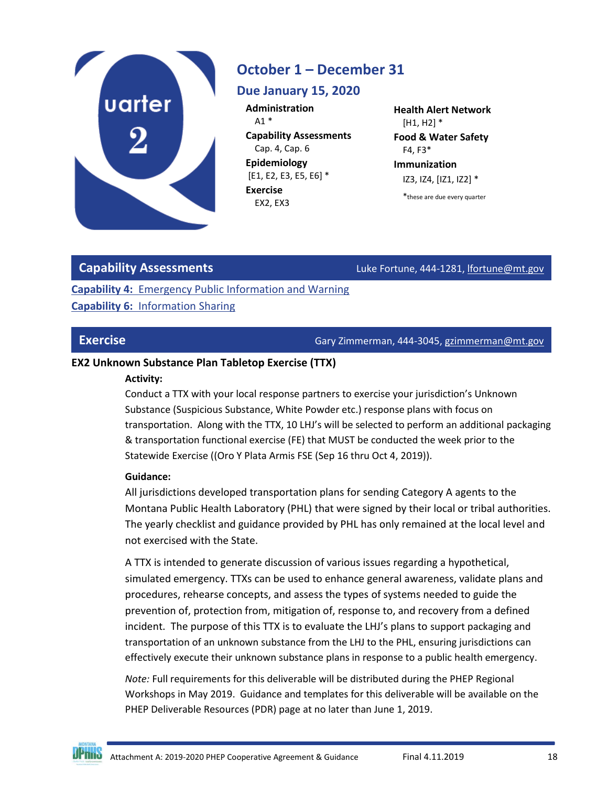

# <span id="page-17-0"></span>**October 1 – December 31**

## **Due January 15, 2020**

**Administration** A1 \* **Capability Assessments** Cap. 4, Cap. 6 **Epidemiology** [E1, E2, E3, E5, E6] \* **Exercise** EX2, EX3

**Health Alert Network** [H1, H2] \* **Food & Water Safety** F4, F3\* **Immunization** IZ3, IZ4, [IZ1, IZ2] \* \*these are due every quarter

**Capability Assessments Capability Assessments Luke Fortune, 444-1281, Ifortune@mt.gov** 

**Capability 4:** [Emergency Public Information and Warning](https://phep.formstack.com/forms/phep_capability_14_assessment_20192020) **Capability 6:** [Information Sharing](https://phep.formstack.com/forms/phep_capability_6_assessment_20192020)

<span id="page-17-1"></span>**Exercise** Gary Zimmerman, 444-3045, [gzimmerman@mt.gov](mailto:gzimmerman@mt.gov)

## **EX2 Unknown Substance Plan Tabletop Exercise (TTX)**

### **Activity:**

Conduct a TTX with your local response partners to exercise your jurisdiction's Unknown Substance (Suspicious Substance, White Powder etc.) response plans with focus on transportation. Along with the TTX, 10 LHJ's will be selected to perform an additional packaging & transportation functional exercise (FE) that MUST be conducted the week prior to the Statewide Exercise ((Oro Y Plata Armis FSE (Sep 16 thru Oct 4, 2019)).

### **Guidance:**

All jurisdictions developed transportation plans for sending Category A agents to the Montana Public Health Laboratory (PHL) that were signed by their local or tribal authorities. The yearly checklist and guidance provided by PHL has only remained at the local level and not exercised with the State.

A TTX is intended to generate discussion of various issues regarding a hypothetical, simulated emergency. TTXs can be used to enhance general awareness, validate plans and procedures, rehearse concepts, and assess the types of systems needed to guide the prevention of, protection from, mitigation of, response to, and recovery from a defined incident. The purpose of this TTX is to evaluate the LHJ's plans to support packaging and transportation of an unknown substance from the LHJ to the PHL, ensuring jurisdictions can effectively execute their unknown substance plans in response to a public health emergency.

*Note:* Full requirements for this deliverable will be distributed during the PHEP Regional Workshops in May 2019. Guidance and templates for this deliverable will be available on the PHEP Deliverable Resources (PDR) page at no later than June 1, 2019.

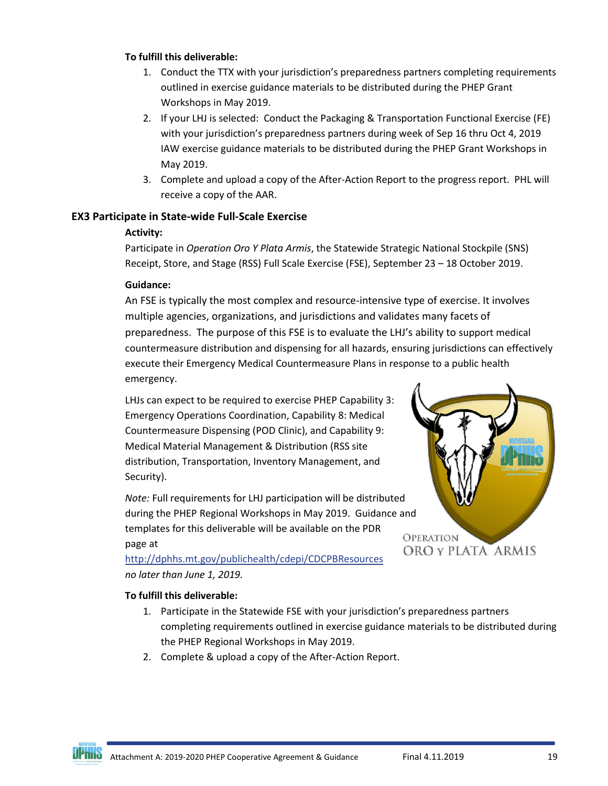### **To fulfill this deliverable:**

- 1. Conduct the TTX with your jurisdiction's preparedness partners completing requirements outlined in exercise guidance materials to be distributed during the PHEP Grant Workshops in May 2019.
- 2. If your LHJ is selected: Conduct the Packaging & Transportation Functional Exercise (FE) with your jurisdiction's preparedness partners during week of Sep 16 thru Oct 4, 2019 IAW exercise guidance materials to be distributed during the PHEP Grant Workshops in May 2019.
- 3. Complete and upload a copy of the After-Action Report to the progress report. PHL will receive a copy of the AAR.

#### **EX3 Participate in State-wide Full-Scale Exercise**

#### **Activity:**

Participate in *Operation Oro Y Plata Armis*, the Statewide Strategic National Stockpile (SNS) Receipt, Store, and Stage (RSS) Full Scale Exercise (FSE), September 23 – 18 October 2019.

#### **Guidance:**

An FSE is typically the most complex and resource-intensive type of exercise. It involves multiple agencies, organizations, and jurisdictions and validates many facets of preparedness. The purpose of this FSE is to evaluate the LHJ's ability to support medical countermeasure distribution and dispensing for all hazards, ensuring jurisdictions can effectively execute their Emergency Medical Countermeasure Plans in response to a public health emergency.

LHJs can expect to be required to exercise PHEP Capability 3: Emergency Operations Coordination, Capability 8: Medical Countermeasure Dispensing (POD Clinic), and Capability 9: Medical Material Management & Distribution (RSS site distribution, Transportation, Inventory Management, and Security).

*Note:* Full requirements for LHJ participation will be distributed during the PHEP Regional Workshops in May 2019. Guidance and templates for this deliverable will be available on the PDR page at

<http://dphhs.mt.gov/publichealth/cdepi/CDCPBResources> *no later than June 1, 2019.*



- 1. Participate in the Statewide FSE with your jurisdiction's preparedness partners completing requirements outlined in exercise guidance materials to be distributed during the PHEP Regional Workshops in May 2019.
- 2. Complete & upload a copy of the After-Action Report.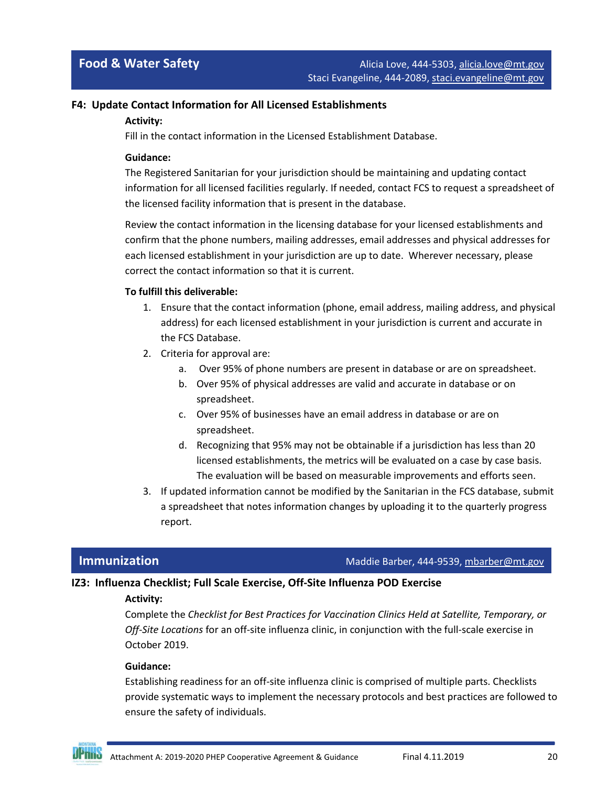#### <span id="page-19-0"></span>**F4: Update Contact Information for All Licensed Establishments**

#### **Activity:**

Fill in the contact information in the Licensed Establishment Database.

#### **Guidance:**

The Registered Sanitarian for your jurisdiction should be maintaining and updating contact information for all licensed facilities regularly. If needed, contact FCS to request a spreadsheet of the licensed facility information that is present in the database.

Review the contact information in the licensing database for your licensed establishments and confirm that the phone numbers, mailing addresses, email addresses and physical addresses for each licensed establishment in your jurisdiction are up to date. Wherever necessary, please correct the contact information so that it is current.

#### **To fulfill this deliverable:**

- 1. Ensure that the contact information (phone, email address, mailing address, and physical address) for each licensed establishment in your jurisdiction is current and accurate in the FCS Database.
- 2. Criteria for approval are:
	- a. Over 95% of phone numbers are present in database or are on spreadsheet.
	- b. Over 95% of physical addresses are valid and accurate in database or on spreadsheet.
	- c. Over 95% of businesses have an email address in database or are on spreadsheet.
	- d. Recognizing that 95% may not be obtainable if a jurisdiction has less than 20 licensed establishments, the metrics will be evaluated on a case by case basis. The evaluation will be based on measurable improvements and efforts seen.
- 3. If updated information cannot be modified by the Sanitarian in the FCS database, submit a spreadsheet that notes information changes by uploading it to the quarterly progress report.

## <span id="page-19-1"></span>**Immunization** Maddie Barber, 444-9539, [mbarber@mt.gov](mailto:mbarber@mt.gov)

#### **IZ3: Influenza Checklist; Full Scale Exercise, Off-Site Influenza POD Exercise**

#### **Activity:**

Complete the *Checklist for Best Practices for Vaccination Clinics Held at Satellite, Temporary, or Off-Site Locations* for an off-site influenza clinic, in conjunction with the full-scale exercise in October 2019.

#### **Guidance:**

Establishing readiness for an off-site influenza clinic is comprised of multiple parts. Checklists provide systematic ways to implement the necessary protocols and best practices are followed to ensure the safety of individuals.

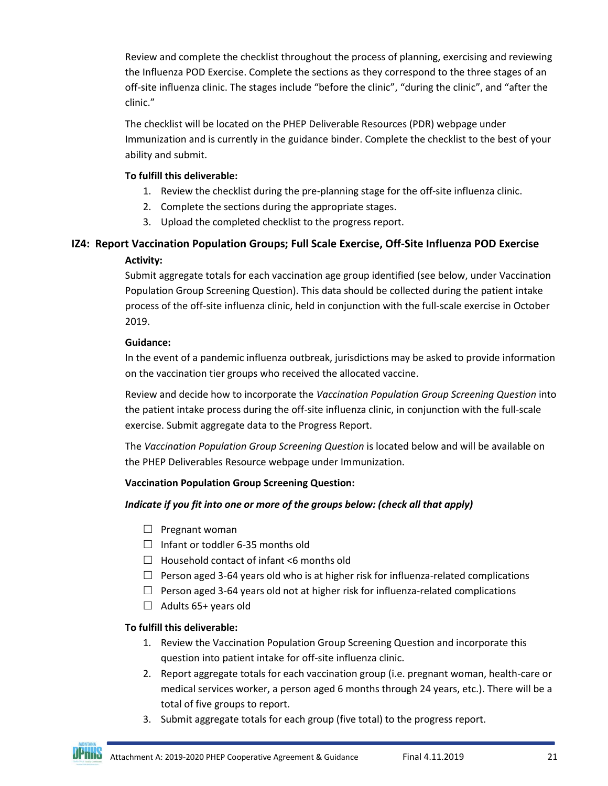Review and complete the checklist throughout the process of planning, exercising and reviewing the Influenza POD Exercise. Complete the sections as they correspond to the three stages of an off-site influenza clinic. The stages include "before the clinic", "during the clinic", and "after the clinic."

The checklist will be located on the PHEP Deliverable Resources (PDR) webpage under Immunization and is currently in the guidance binder. Complete the checklist to the best of your ability and submit.

#### **To fulfill this deliverable:**

- 1. Review the checklist during the pre-planning stage for the off-site influenza clinic.
- 2. Complete the sections during the appropriate stages.
- 3. Upload the completed checklist to the progress report.

### **IZ4: Report Vaccination Population Groups; Full Scale Exercise, Off-Site Influenza POD Exercise Activity:**

Submit aggregate totals for each vaccination age group identified (see below, under Vaccination Population Group Screening Question). This data should be collected during the patient intake process of the off-site influenza clinic, held in conjunction with the full-scale exercise in October 2019.

#### **Guidance:**

In the event of a pandemic influenza outbreak, jurisdictions may be asked to provide information on the vaccination tier groups who received the allocated vaccine.

Review and decide how to incorporate the *Vaccination Population Group Screening Question* into the patient intake process during the off-site influenza clinic, in conjunction with the full-scale exercise. Submit aggregate data to the Progress Report.

The *Vaccination Population Group Screening Question* is located below and will be available on the PHEP Deliverables Resource webpage under Immunization.

### **Vaccination Population Group Screening Question:**

### *Indicate if you fit into one or more of the groups below: (check all that apply)*

- $\Box$  Pregnant woman
- $\Box$  Infant or toddler 6-35 months old
- $\Box$  Household contact of infant <6 months old
- $\Box$  Person aged 3-64 years old who is at higher risk for influenza-related complications
- $\Box$  Person aged 3-64 years old not at higher risk for influenza-related complications
- $\Box$  Adults 65+ years old

- 1. Review the Vaccination Population Group Screening Question and incorporate this question into patient intake for off-site influenza clinic.
- 2. Report aggregate totals for each vaccination group (i.e. pregnant woman, health-care or medical services worker, a person aged 6 months through 24 years, etc.). There will be a total of five groups to report.
- 3. Submit aggregate totals for each group (five total) to the progress report.

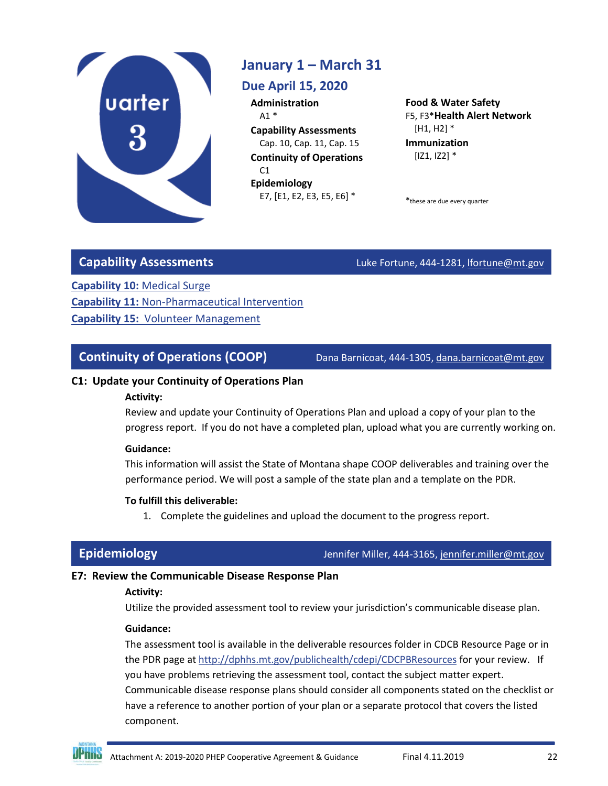

# <span id="page-21-0"></span>**January 1 – March 31**

## **Due April 15, 2020**

**Administration** A1 \* **Capability Assessments** Cap. 10, Cap. 11, Cap. 15 **Continuity of Operations**  $C1$ **Epidemiology** E7, [E1, E2, E3, E5, E6] \*

**Food & Water Safety** F5, F3\***Health Alert Network** [H1, H2] \* **Immunization**

\*these are due every quarter

[IZ1, IZ2] \*

## **Capability Assessments** Luke Fortune, 444-1281[, lfortune@mt.gov](mailto:lfortune@mt.gov)

**Capability 10:** [Medical Surge](https://phep.formstack.com/forms/phep_capability_10_assessment_20192020) **Capability 11:** [Non-Pharmaceutical Intervention](https://phep.formstack.com/forms/phep_capability_11_assessment_20192020) **Capability 15:** [Volunteer Management](https://phep.formstack.com/forms/phep_capability_15_assessment_20192020)

<span id="page-21-1"></span>**Continuity of Operations (COOP)** Dana Barnicoat, 444-1305[, dana.barnicoat@mt.gov](mailto:dana.barnicoat@mt.gov)

## **C1: Update your Continuity of Operations Plan**

### **Activity:**

Review and update your Continuity of Operations Plan and upload a copy of your plan to the progress report. If you do not have a completed plan, upload what you are currently working on.

### **Guidance:**

This information will assist the State of Montana shape COOP deliverables and training over the performance period. We will post a sample of the state plan and a template on the PDR.

## **To fulfill this deliverable:**

1. Complete the guidelines and upload the document to the progress report.

<span id="page-21-2"></span>**Epidemiology** Jennifer Miller, 444-3165[, jennifer.miller@mt.gov](mailto:jennifer.miller@mt.gov)

## **E7: Review the Communicable Disease Response Plan**

## **Activity:**

Utilize the provided assessment tool to review your jurisdiction's communicable disease plan.

## **Guidance:**

The assessment tool is available in the deliverable resources folder in CDCB Resource Page or in the PDR page at<http://dphhs.mt.gov/publichealth/cdepi/CDCPBResources> for your review. If you have problems retrieving the assessment tool, contact the subject matter expert. Communicable disease response plans should consider all components stated on the checklist or have a reference to another portion of your plan or a separate protocol that covers the listed component.

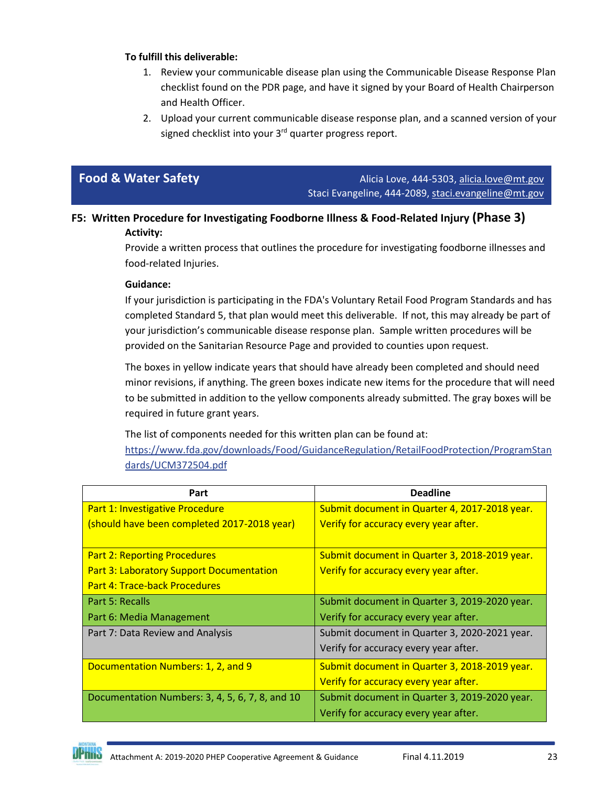#### **To fulfill this deliverable:**

- 1. Review your communicable disease plan using the Communicable Disease Response Plan checklist found on the PDR page, and have it signed by your Board of Health Chairperson and Health Officer.
- 2. Upload your current communicable disease response plan, and a scanned version of your signed checklist into your  $3<sup>rd</sup>$  quarter progress report.

<span id="page-22-0"></span>**Food & Water Safety** Alicia Love, 444-5303[, alicia.love@mt.gov](mailto:alicia.love@mt.gov) Staci Evangeline, 444-2089, [staci.evangeline@mt.gov](mailto:staci.evangeline@mt.gov)

## **F5: Written Procedure for Investigating Foodborne Illness & Food-Related Injury (Phase 3) Activity:**

Provide a written process that outlines the procedure for investigating foodborne illnesses and food-related Injuries.

#### **Guidance:**

If your jurisdiction is participating in the FDA's Voluntary Retail Food Program Standards and has completed Standard 5, that plan would meet this deliverable. If not, this may already be part of your jurisdiction's communicable disease response plan. Sample written procedures will be provided on the Sanitarian Resource Page and provided to counties upon request.

The boxes in yellow indicate years that should have already been completed and should need minor revisions, if anything. The green boxes indicate new items for the procedure that will need to be submitted in addition to the yellow components already submitted. The gray boxes will be required in future grant years.

The list of components needed for this written plan can be found at:

[https://www.fda.gov/downloads/Food/GuidanceRegulation/RetailFoodProtection/ProgramStan](https://www.fda.gov/downloads/Food/GuidanceRegulation/RetailFoodProtection/ProgramStandards/UCM372504.pdf) [dards/UCM372504.pdf](https://www.fda.gov/downloads/Food/GuidanceRegulation/RetailFoodProtection/ProgramStandards/UCM372504.pdf)

| Part                                            | <b>Deadline</b>                               |  |
|-------------------------------------------------|-----------------------------------------------|--|
| <b>Part 1: Investigative Procedure</b>          | Submit document in Quarter 4, 2017-2018 year. |  |
| (should have been completed 2017-2018 year)     | Verify for accuracy every year after.         |  |
|                                                 |                                               |  |
| <b>Part 2: Reporting Procedures</b>             | Submit document in Quarter 3, 2018-2019 year. |  |
| <b>Part 3: Laboratory Support Documentation</b> | Verify for accuracy every year after.         |  |
| <b>Part 4: Trace-back Procedures</b>            |                                               |  |
| Part 5: Recalls                                 | Submit document in Quarter 3, 2019-2020 year. |  |
| Part 6: Media Management                        | Verify for accuracy every year after.         |  |
| Part 7: Data Review and Analysis                | Submit document in Quarter 3, 2020-2021 year. |  |
|                                                 | Verify for accuracy every year after.         |  |
| Documentation Numbers: 1, 2, and 9              | Submit document in Quarter 3, 2018-2019 year. |  |
|                                                 | Verify for accuracy every year after.         |  |
| Documentation Numbers: 3, 4, 5, 6, 7, 8, and 10 | Submit document in Quarter 3, 2019-2020 year. |  |
|                                                 | Verify for accuracy every year after.         |  |

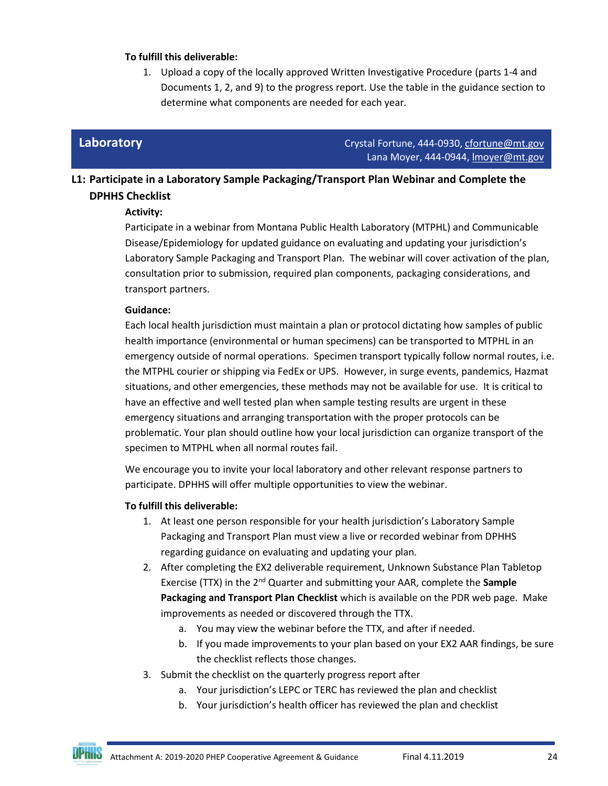#### **To fulfill this deliverable:**

1. Upload a copy of the locally approved Written Investigative Procedure (parts 1-4 and Documents 1, 2, and 9) to the progress report. Use the table in the guidance section to determine what components are needed for each year.

**Laboratory** Crystal Fortune, 444-0930[, cfortune@mt.gov](mailto:cfortune@mt.gov) Lana Moyer, 444-0944, Imoyer@mt.gov

## **L1: Participate in a Laboratory Sample Packaging/Transport Plan Webinar and Complete the DPHHS Checklist**

#### **Activity:**

Participate in a webinar from Montana Public Health Laboratory (MTPHL) and Communicable Disease/Epidemiology for updated guidance on evaluating and updating your jurisdiction's Laboratory Sample Packaging and Transport Plan. The webinar will cover activation of the plan, consultation prior to submission, required plan components, packaging considerations, and transport partners.

#### **Guidance:**

Each local health jurisdiction must maintain a plan or protocol dictating how samples of public health importance (environmental or human specimens) can be transported to MTPHL in an emergency outside of normal operations. Specimen transport typically follow normal routes, i.e. the MTPHL courier or shipping via FedEx or UPS. However, in surge events, pandemics, Hazmat situations, and other emergencies, these methods may not be available for use. It is critical to have an effective and well tested plan when sample testing results are urgent in these emergency situations and arranging transportation with the proper protocols can be problematic. Your plan should outline how your local jurisdiction can organize transport of the specimen to MTPHL when all normal routes fail.

We encourage you to invite your local laboratory and other relevant response partners to participate. DPHHS will offer multiple opportunities to view the webinar.

- 1. At least one person responsible for your health jurisdiction's Laboratory Sample Packaging and Transport Plan must view a live or recorded webinar from DPHHS regarding guidance on evaluating and updating your plan.
- 2. After completing the EX2 deliverable requirement, Unknown Substance Plan Tabletop Exercise (TTX) in the 2nd Quarter and submitting your AAR, complete the **Sample Packaging and Transport Plan Checklist** which is available on the PDR web page. Make improvements as needed or discovered through the TTX.
	- a. You may view the webinar before the TTX, and after if needed.
	- b. If you made improvements to your plan based on your EX2 AAR findings, be sure the checklist reflects those changes.
- 3. Submit the checklist on the quarterly progress report after
	- a. Your jurisdiction's LEPC or TERC has reviewed the plan and checklist
	- b. Your jurisdiction's health officer has reviewed the plan and checklist

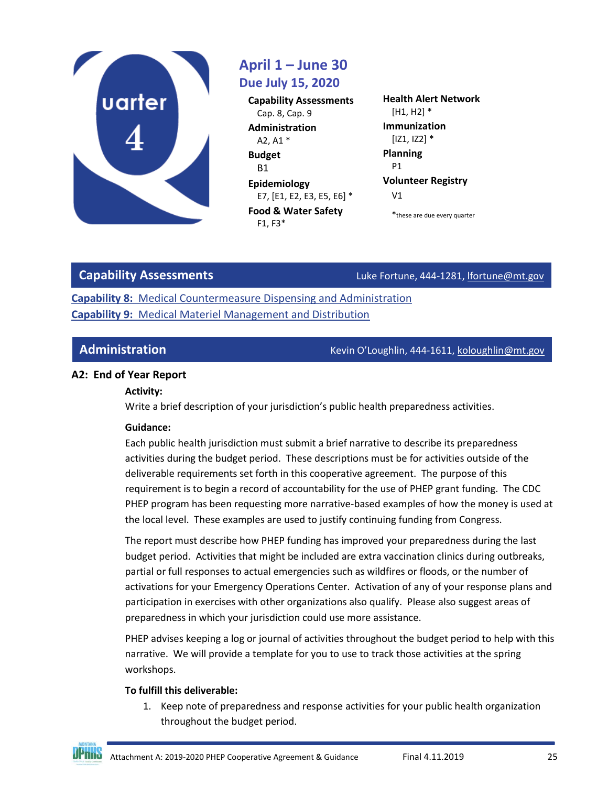

# <span id="page-24-0"></span>**April 1 – June 30 Due July 15, 2020**

**Capability Assessments** Cap. 8, Cap. 9 **Administration** A2, A1 \* **Budget** B1 **Epidemiology** E7, [E1, E2, E3, E5, E6] \* **Food & Water Safety** F1, F3\*

**Health Alert Network**  $[H1, H2]$  \* **Immunization**  $[|Z1, |Z2]|$ \* **Planning** P1 **Volunteer Registry** V1 \*these are due every quarter

**Capability Assessments Capability Assessments Luke Fortune, 444-1281**[, lfortune@mt.gov](mailto:lfortune@mt.gov)

**Capability 8:** [Medical Countermeasure Dispensing and Administration](https://phep.formstack.com/forms/phep_capability_8_assessment_20192020) **Capability 9:** [Medical Materiel Management and Distribution](https://phep.formstack.com/forms/phep_capability_9_assessment_20192020)

#### <span id="page-24-1"></span>**Administration** Mateur Communistration Communistration Communistration Communistration Communistration Communist

### **A2: End of Year Report**

#### **Activity:**

Write a brief description of your jurisdiction's public health preparedness activities.

#### **Guidance:**

Each public health jurisdiction must submit a brief narrative to describe its preparedness activities during the budget period. These descriptions must be for activities outside of the deliverable requirements set forth in this cooperative agreement. The purpose of this requirement is to begin a record of accountability for the use of PHEP grant funding. The CDC PHEP program has been requesting more narrative-based examples of how the money is used at the local level. These examples are used to justify continuing funding from Congress.

The report must describe how PHEP funding has improved your preparedness during the last budget period. Activities that might be included are extra vaccination clinics during outbreaks, partial or full responses to actual emergencies such as wildfires or floods, or the number of activations for your Emergency Operations Center. Activation of any of your response plans and participation in exercises with other organizations also qualify. Please also suggest areas of preparedness in which your jurisdiction could use more assistance.

PHEP advises keeping a log or journal of activities throughout the budget period to help with this narrative. We will provide a template for you to use to track those activities at the spring workshops.

#### **To fulfill this deliverable:**

1. Keep note of preparedness and response activities for your public health organization throughout the budget period.

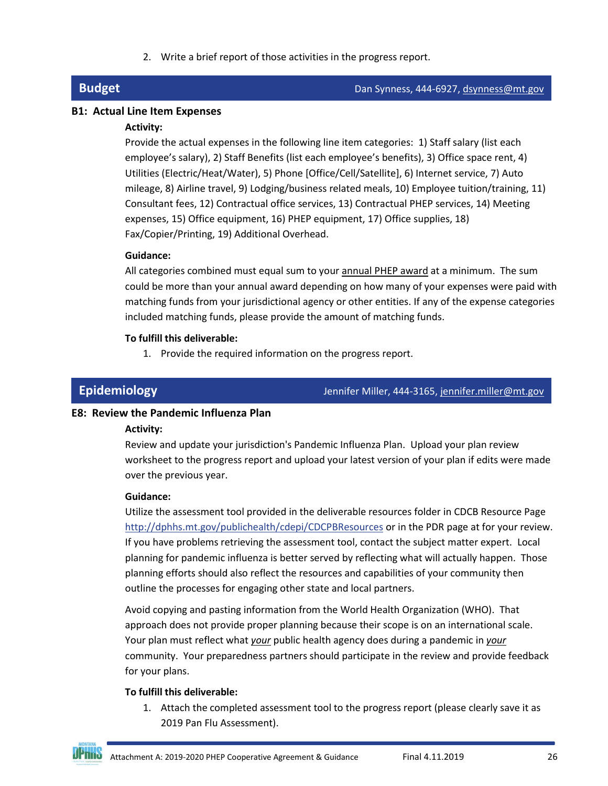2. Write a brief report of those activities in the progress report.

## <span id="page-25-0"></span>**Budget Budget Dan Synness, 444-6927, [dsynness@mt.gov](mailto:dsynness@mt.gov)**

#### **B1: Actual Line Item Expenses**

#### **Activity:**

Provide the actual expenses in the following line item categories: 1) Staff salary (list each employee's salary), 2) Staff Benefits (list each employee's benefits), 3) Office space rent, 4) Utilities (Electric/Heat/Water), 5) Phone [Office/Cell/Satellite], 6) Internet service, 7) Auto mileage, 8) Airline travel, 9) Lodging/business related meals, 10) Employee tuition/training, 11) Consultant fees, 12) Contractual office services, 13) Contractual PHEP services, 14) Meeting expenses, 15) Office equipment, 16) PHEP equipment, 17) Office supplies, 18) Fax/Copier/Printing, 19) Additional Overhead.

#### **Guidance:**

All categories combined must equal sum to your annual PHEP award at a minimum. The sum could be more than your annual award depending on how many of your expenses were paid with matching funds from your jurisdictional agency or other entities. If any of the expense categories included matching funds, please provide the amount of matching funds.

#### **To fulfill this deliverable:**

1. Provide the required information on the progress report.

<span id="page-25-1"></span>**Epidemiology** Jennifer Miller, 444-3165[, jennifer.miller@mt.gov](mailto:jennifer.miller@mt.gov)

#### **E8: Review the Pandemic Influenza Plan**

#### **Activity:**

Review and update your jurisdiction's Pandemic Influenza Plan. Upload your plan review worksheet to the progress report and upload your latest version of your plan if edits were made over the previous year.

#### **Guidance:**

Utilize the assessment tool provided in the deliverable resources folder in CDCB Resource Page <http://dphhs.mt.gov/publichealth/cdepi/CDCPBResources> or in the PDR page at for your review. If you have problems retrieving the assessment tool, contact the subject matter expert. Local planning for pandemic influenza is better served by reflecting what will actually happen. Those planning efforts should also reflect the resources and capabilities of your community then outline the processes for engaging other state and local partners.

Avoid copying and pasting information from the World Health Organization (WHO). That approach does not provide proper planning because their scope is on an international scale. Your plan must reflect what *your* public health agency does during a pandemic in *your* community. Your preparedness partners should participate in the review and provide feedback for your plans.

#### **To fulfill this deliverable:**

1. Attach the completed assessment tool to the progress report (please clearly save it as 2019 Pan Flu Assessment).

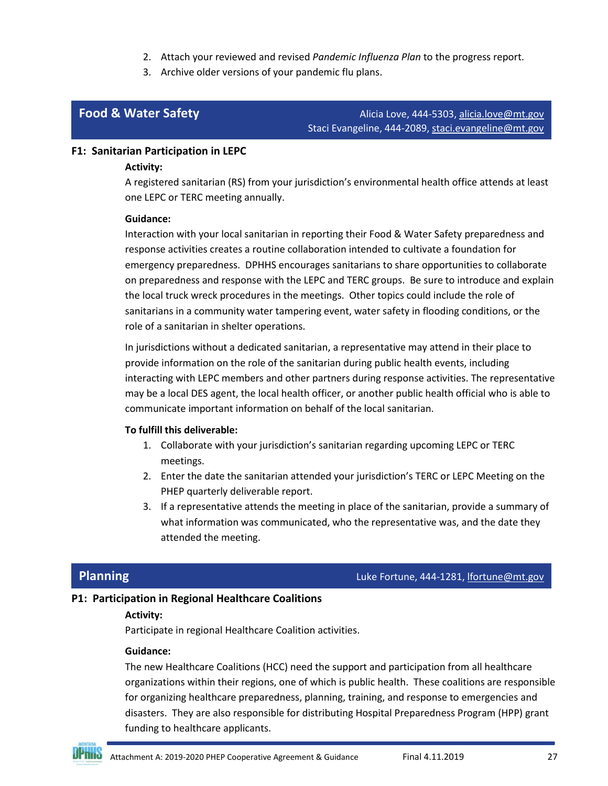- 2. Attach your reviewed and revised *Pandemic Influenza Plan* to the progress report.
- 3. Archive older versions of your pandemic flu plans.

**Food & Water Safety Alicia Love, 444-5303[, alicia.love@mt.gov](mailto:alicia.love@mt.gov)** Alicia Love, 444-5303, alicia.love@mt.gov Staci Evangeline, 444-2089, [staci.evangeline@mt.gov](mailto:staci.evangeline@mt.gov)

#### **F1: Sanitarian Participation in LEPC**

#### **Activity:**

A registered sanitarian (RS) from your jurisdiction's environmental health office attends at least one LEPC or TERC meeting annually.

#### **Guidance:**

Interaction with your local sanitarian in reporting their Food & Water Safety preparedness and response activities creates a routine collaboration intended to cultivate a foundation for emergency preparedness. DPHHS encourages sanitarians to share opportunities to collaborate on preparedness and response with the LEPC and TERC groups. Be sure to introduce and explain the local truck wreck procedures in the meetings. Other topics could include the role of sanitarians in a community water tampering event, water safety in flooding conditions, or the role of a sanitarian in shelter operations.

In jurisdictions without a dedicated sanitarian, a representative may attend in their place to provide information on the role of the sanitarian during public health events, including interacting with LEPC members and other partners during response activities. The representative may be a local DES agent, the local health officer, or another public health official who is able to communicate important information on behalf of the local sanitarian.

#### **To fulfill this deliverable:**

- 1. Collaborate with your jurisdiction's sanitarian regarding upcoming LEPC or TERC meetings.
- 2. Enter the date the sanitarian attended your jurisdiction's TERC or LEPC Meeting on the PHEP quarterly deliverable report.
- 3. If a representative attends the meeting in place of the sanitarian, provide a summary of what information was communicated, who the representative was, and the date they attended the meeting.

## <span id="page-26-0"></span>**Planning Luke Fortune, 444-1281[, lfortune@mt.gov](mailto:lfortune@mt.gov)** Luke Fortune, 444-1281, lfortune@mt.gov

#### **P1: Participation in Regional Healthcare Coalitions**

#### **Activity:**

Participate in regional Healthcare Coalition activities.

#### **Guidance:**

The new Healthcare Coalitions (HCC) need the support and participation from all healthcare organizations within their regions, one of which is public health. These coalitions are responsible for organizing healthcare preparedness, planning, training, and response to emergencies and disasters. They are also responsible for distributing Hospital Preparedness Program (HPP) grant funding to healthcare applicants.

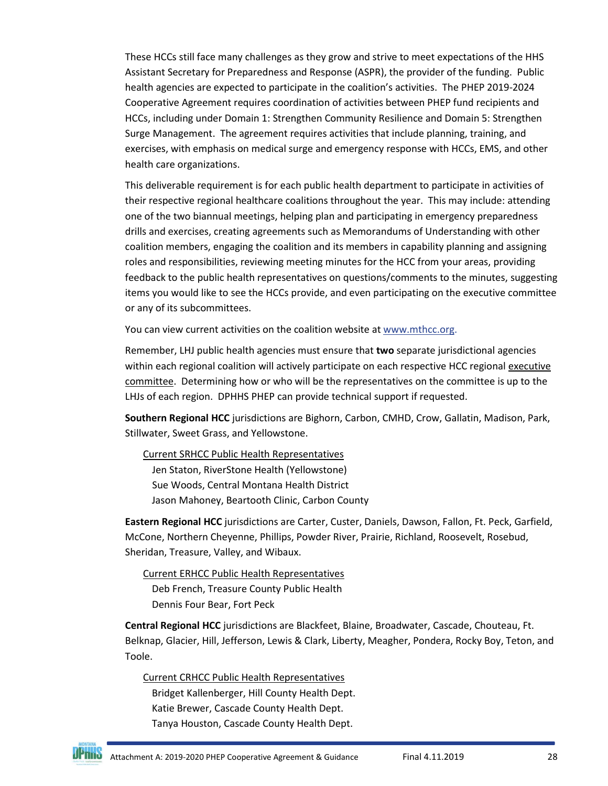These HCCs still face many challenges as they grow and strive to meet expectations of the HHS Assistant Secretary for Preparedness and Response (ASPR), the provider of the funding. Public health agencies are expected to participate in the coalition's activities. The PHEP 2019-2024 Cooperative Agreement requires coordination of activities between PHEP fund recipients and HCCs, including under Domain 1: Strengthen Community Resilience and Domain 5: Strengthen Surge Management. The agreement requires activities that include planning, training, and exercises, with emphasis on medical surge and emergency response with HCCs, EMS, and other health care organizations.

This deliverable requirement is for each public health department to participate in activities of their respective regional healthcare coalitions throughout the year. This may include: attending one of the two biannual meetings, helping plan and participating in emergency preparedness drills and exercises, creating agreements such as Memorandums of Understanding with other coalition members, engaging the coalition and its members in capability planning and assigning roles and responsibilities, reviewing meeting minutes for the HCC from your areas, providing feedback to the public health representatives on questions/comments to the minutes, suggesting items you would like to see the HCCs provide, and even participating on the executive committee or any of its subcommittees.

You can view current activities on the coalition website at [www.mthcc.org.](http://www.mthcc.org/)

Remember, LHJ public health agencies must ensure that **two** separate jurisdictional agencies within each regional coalition will actively participate on each respective HCC regional executive committee. Determining how or who will be the representatives on the committee is up to the LHJs of each region. DPHHS PHEP can provide technical support if requested.

**Southern Regional HCC** jurisdictions are Bighorn, Carbon, CMHD, Crow, Gallatin, Madison, Park, Stillwater, Sweet Grass, and Yellowstone.

Current SRHCC Public Health Representatives Jen Staton, RiverStone Health (Yellowstone) Sue Woods, Central Montana Health District Jason Mahoney, Beartooth Clinic, Carbon County

**Eastern Regional HCC** jurisdictions are Carter, Custer, Daniels, Dawson, Fallon, Ft. Peck, Garfield, McCone, Northern Cheyenne, Phillips, Powder River, Prairie, Richland, Roosevelt, Rosebud, Sheridan, Treasure, Valley, and Wibaux.

Current ERHCC Public Health Representatives Deb French, Treasure County Public Health Dennis Four Bear, Fort Peck

**Central Regional HCC** jurisdictions are Blackfeet, Blaine, Broadwater, Cascade, Chouteau, Ft. Belknap, Glacier, Hill, Jefferson, Lewis & Clark, Liberty, Meagher, Pondera, Rocky Boy, Teton, and Toole.

Current CRHCC Public Health Representatives Bridget Kallenberger, Hill County Health Dept. Katie Brewer, Cascade County Health Dept. Tanya Houston, Cascade County Health Dept.